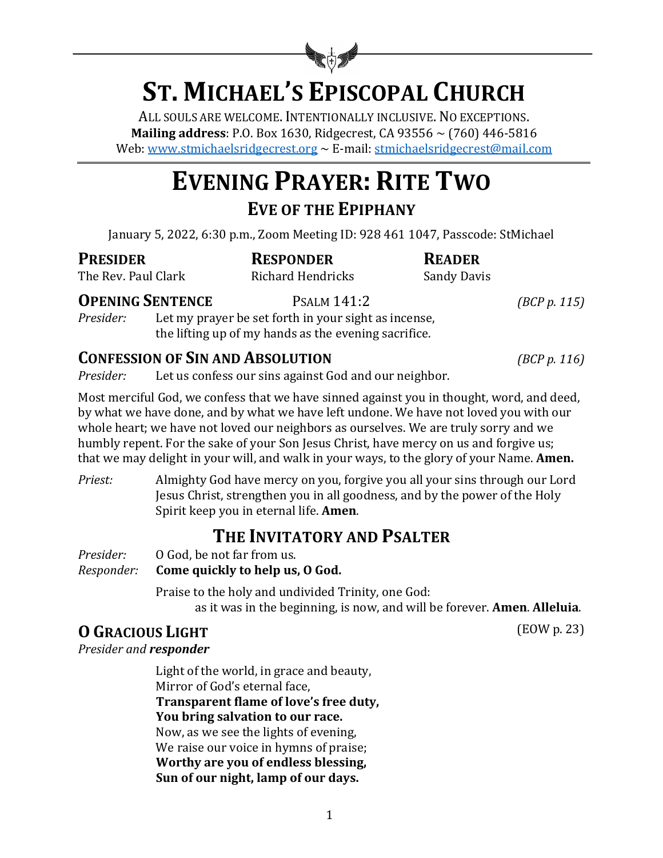

# **ST. MICHAEL'S EPISCOPAL CHURCH**

ALL SOULS ARE WELCOME. INTENTIONALLY INCLUSIVE. NO EXCEPTIONS. **Mailing address**: P.O. Box 1630, Ridgecrest, CA 93556  $\sim$  (760) 446-5816 Web: www.stmichaelsridgecrest.org  $\sim$  E-mail: stmichaelsridgecrest@mail.com

# **EVENING PRAYER: RITE TWO EVE OF THE EPIPHANY**

January 5, 2022, 6:30 p.m., Zoom Meeting ID: 928 461 1047, Passcode: StMichael

### **PRESIDER RESPONDER READER**

The Rev. Paul Clark **Richard Hendricks** Sandy Davis

#### **OPENING SENTENCE** PSALM 141:2 *(BCP p. 115)*

*Presider:* Let my prayer be set forth in your sight as incense, the lifting up of my hands as the evening sacrifice.

## **CONFESSION OF SIN AND ABSOLUTION** *(BCP p. 116)*

*Presider:* Let us confess our sins against God and our neighbor.

Most merciful God, we confess that we have sinned against you in thought, word, and deed, by what we have done, and by what we have left undone. We have not loved you with our whole heart; we have not loved our neighbors as ourselves. We are truly sorry and we humbly repent. For the sake of your Son Jesus Christ, have mercy on us and forgive us; that we may delight in your will, and walk in your ways, to the glory of your Name. **Amen.** 

*Priest:* Almighty God have mercy on you, forgive you all your sins through our Lord Jesus Christ, strengthen you in all goodness, and by the power of the Holy Spirit keep you in eternal life. **Amen**.

# **THE INVITATORY AND PSALTER**

*Presider:* 0 God, be not far from us.

*Responder:* **Come quickly to help us, O God.** 

Praise to the holy and undivided Trinity, one God: as it was in the beginning, is now, and will be forever. **Amen. Alleluia**.

# **O GRACIOUS** LIGHT (EOW p. 23)

**Presider and responder** 

Light of the world, in grace and beauty, Mirror of God's eternal face, **Transparent flame of love's free duty, You bring salvation to our race.** Now, as we see the lights of evening, We raise our voice in hymns of praise; **Worthy are you of endless blessing,** Sun of our night, lamp of our days.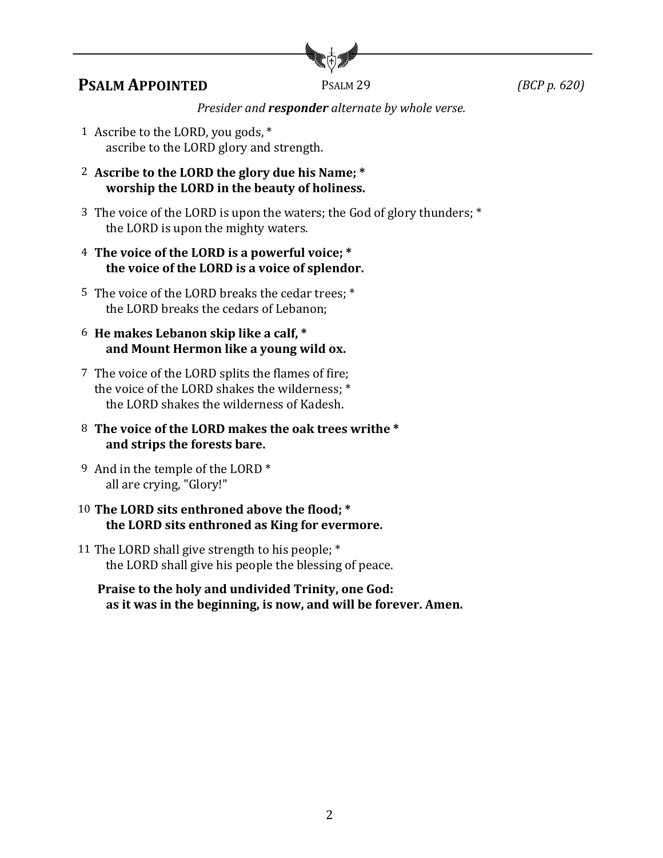

# **PSALM APPOINTED** PSALM 29 *(BCP p. 620)*

*Presider and responder alternate by whole verse.* 

- 1 Ascribe to the LORD, you gods,  $*$ ascribe to the LORD glory and strength.
- 2 Ascribe to the LORD the glory due his Name; \* **worship the LORD in the beauty of holiness.**
- 3 The voice of the LORD is upon the waters; the God of glory thunders; \* the LORD is upon the mighty waters.
- 4 The voice of the LORD is a powerful voice; \* the voice of the LORD is a voice of splendor.
- 5 The voice of the LORD breaks the cedar trees; \* the LORD breaks the cedars of Lebanon:
- 6 He makes Lebanon skip like a calf, \* and Mount Hermon like a young wild ox.
- 7 The voice of the LORD splits the flames of fire; the voice of the LORD shakes the wilderness:  $*$ the LORD shakes the wilderness of Kadesh.
- 8 The voice of the LORD makes the oak trees writhe \* and strips the forests bare.
- 9 And in the temple of the LORD  $*$ all are crying, "Glory!"
- 10 The LORD sits enthroned above the flood; \* **the LORD** sits enthroned as King for evermore.
- 11 The LORD shall give strength to his people;  $*$ the LORD shall give his people the blessing of peace.
	- Praise to the holy and undivided Trinity, one God: as it was in the beginning, is now, and will be forever. Amen.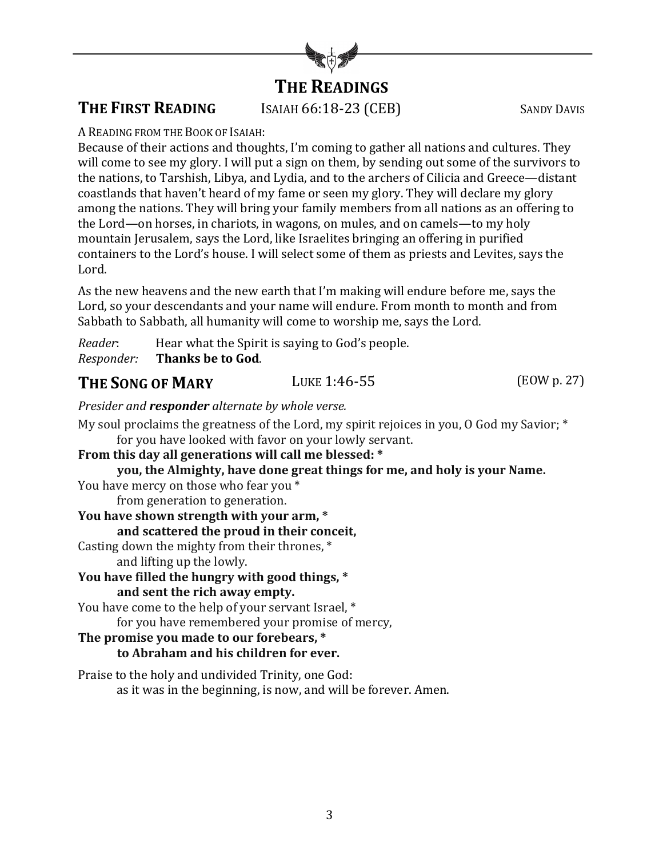# **THE READINGS**

#### **THE FIRST READING** ISAIAH 66:18-23 (CEB) SANDY DAVIS

A READING FROM THE BOOK OF ISAIAH:

Because of their actions and thoughts, I'm coming to gather all nations and cultures. They will come to see my glory. I will put a sign on them, by sending out some of the survivors to the nations, to Tarshish, Libya, and Lydia, and to the archers of Cilicia and Greece-distant coastlands that haven't heard of my fame or seen my glory. They will declare my glory among the nations. They will bring your family members from all nations as an offering to the Lord—on horses, in chariots, in wagons, on mules, and on camels—to my holy mountain Jerusalem, says the Lord, like Israelites bringing an offering in purified containers to the Lord's house. I will select some of them as priests and Levites, says the Lord.

As the new heavens and the new earth that I'm making will endure before me, says the Lord, so your descendants and your name will endure. From month to month and from Sabbath to Sabbath, all humanity will come to worship me, says the Lord.

*Reader*: Hear what the Spirit is saying to God's people. *Responder:* Thanks be to God.

# **THE SONG OF MARY** LUKE 1:46-55 (EOW p. 27)

*Presider and responder alternate by whole verse.* 

My soul proclaims the greatness of the Lord, my spirit rejoices in you, O God my Savior;  $*$ for you have looked with favor on your lowly servant. **From this day all generations will call me blessed: \* you, the Almighty, have done great things for me, and holy is your Name.** You have mercy on those who fear you \* from generation to generation. You have shown strength with your arm,  $*$ **and scattered the proud in their conceit,** Casting down the mighty from their thrones,  $*$ and lifting up the lowly. You have filled the hungry with good things,  $*$ **and sent the rich away empty.** You have come to the help of your servant Israel, \* for you have remembered your promise of mercy, **The promise you made to our forebears, \* to Abraham and his children for ever.** Praise to the holy and undivided Trinity, one God: as it was in the beginning, is now, and will be forever. Amen.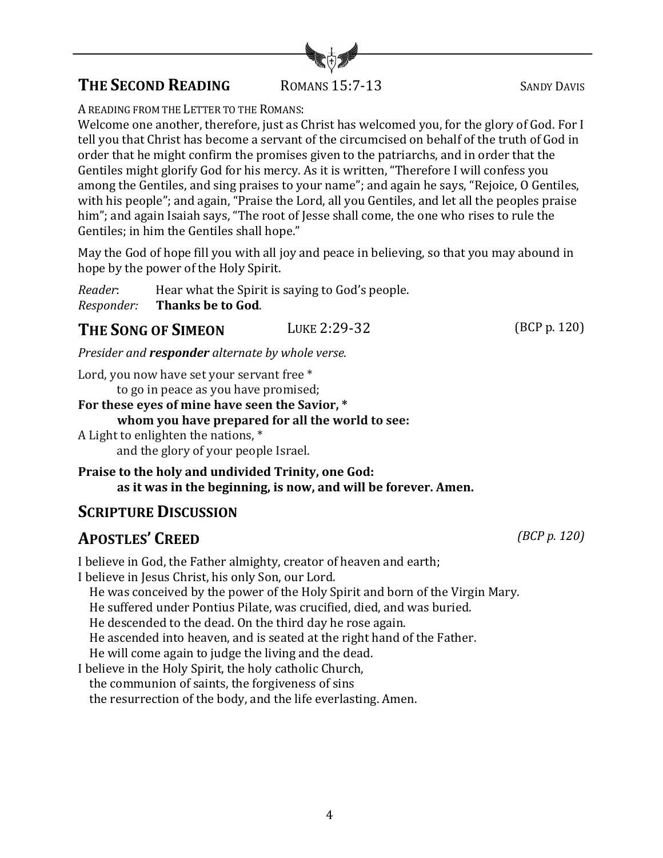

# **THE SECOND READING** ROMANS 15:7-13 SANDY DAVIS

A READING FROM THE LETTER TO THE ROMANS:

Welcome one another, therefore, just as Christ has welcomed you, for the glory of God. For I tell you that Christ has become a servant of the circumcised on behalf of the truth of God in order that he might confirm the promises given to the patriarchs, and in order that the Gentiles might glorify God for his mercy. As it is written, "Therefore I will confess you among the Gentiles, and sing praises to your name"; and again he says, "Rejoice, O Gentiles, with his people"; and again, "Praise the Lord, all you Gentiles, and let all the peoples praise him"; and again Isaiah says, "The root of Jesse shall come, the one who rises to rule the Gentiles; in him the Gentiles shall hope."

May the God of hope fill you with all joy and peace in believing, so that you may abound in hope by the power of the Holy Spirit.

*Reader*: Hear what the Spirit is saying to God's people. *Responder:* **Thanks be to God**.

### **THE SONG OF SIMEON** LUKE 2:29-32 (BCP p. 120)

*Presider and responder alternate by whole verse.* 

Lord, you now have set your servant free \*

to go in peace as you have promised;

#### For these eyes of mine have seen the Savior, \*

#### **whom** you have prepared for all the world to see:

A Light to enlighten the nations,  $*$ 

and the glory of your people Israel.

#### **Praise to the holy and undivided Trinity, one God:** as it was in the beginning, is now, and will be forever. Amen.

### **SCRIPTURE DISCUSSION**

# **APOSTLES' CREED** *(BCP p. 120)*

I believe in God, the Father almighty, creator of heaven and earth; I believe in Jesus Christ, his only Son, our Lord. He was conceived by the power of the Holy Spirit and born of the Virgin Mary. He suffered under Pontius Pilate, was crucified, died, and was buried. He descended to the dead. On the third day he rose again. He ascended into heaven, and is seated at the right hand of the Father. He will come again to judge the living and the dead. I believe in the Holy Spirit, the holy catholic Church, the communion of saints, the forgiveness of sins

the resurrection of the body, and the life everlasting. Amen.

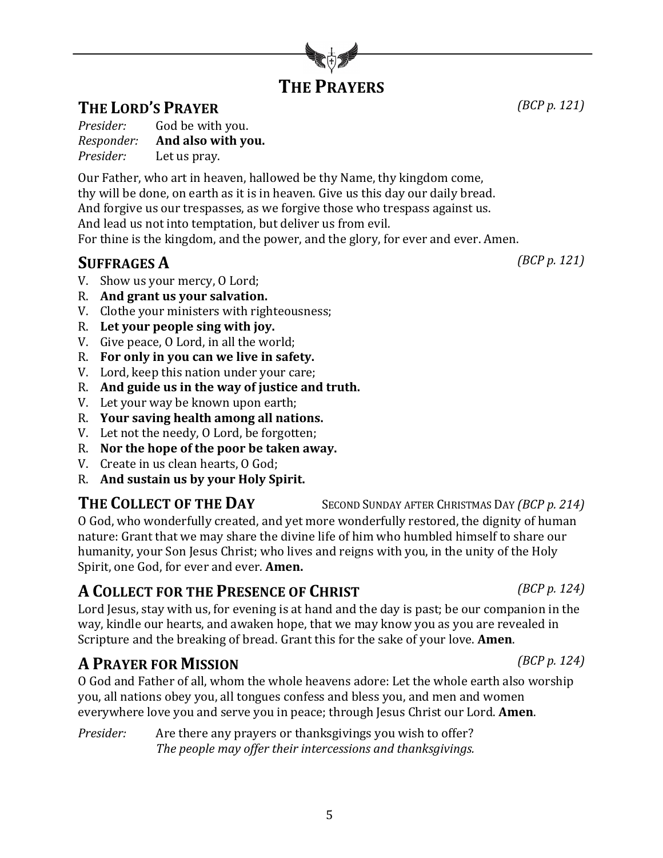

**THE LORD'S PRAYER** *(BCP p. 121)* 

**THE PRAYERS**

*Presider:* God be with you. *Responder:* **And also with you.** *Presider:* Let us pray.

Our Father, who art in heaven, hallowed be thy Name, thy kingdom come, thy will be done, on earth as it is in heaven. Give us this day our daily bread. And forgive us our trespasses, as we forgive those who trespass against us. And lead us not into temptation, but deliver us from evil. For thine is the kingdom, and the power, and the glory, for ever and ever. Amen.

# **SUFFRAGES A** *(BCP p. 121)*

- V. Show us your mercy, O Lord;
- R. **And grant us your salvation.**
- V. Clothe your ministers with righteousness;
- R. **Let your people sing with joy.**
- V. Give peace, O Lord, in all the world;
- R. For only in you can we live in safety.
- V. Lord, keep this nation under your care;
- R. And guide us in the way of justice and truth.
- V. Let your way be known upon earth;
- R. **Your saving health among all nations.**
- V. Let not the needy, O Lord, be forgotten;
- R. Nor the hope of the poor be taken away.
- V. Create in us clean hearts, O God;
- R. And sustain us by your Holy Spirit.

**THE COLLECT OF THE DAY** SECOND SUNDAY AFTER CHRISTMAS DAY *(BCP p. 214)* O God, who wonderfully created, and yet more wonderfully restored, the dignity of human nature: Grant that we may share the divine life of him who humbled himself to share our humanity, your Son Jesus Christ; who lives and reigns with you, in the unity of the Holy Spirit, one God, for ever and ever. **Amen.** 

# **A COLLECT FOR THE PRESENCE OF CHRIST** *(BCP p. 124)*

Lord Jesus, stay with us, for evening is at hand and the day is past; be our companion in the way, kindle our hearts, and awaken hope, that we may know you as you are revealed in Scripture and the breaking of bread. Grant this for the sake of your love. **Amen**.

# **A PRAYER FOR MISSION** *(BCP p. 124)*

O God and Father of all, whom the whole heavens adore: Let the whole earth also worship you, all nations obey you, all tongues confess and bless you, and men and women everywhere love you and serve you in peace; through Jesus Christ our Lord. Amen.

*Presider:* Are there any prayers or thanksgivings you wish to offer? *The people may offer their intercessions and thanksgivings.*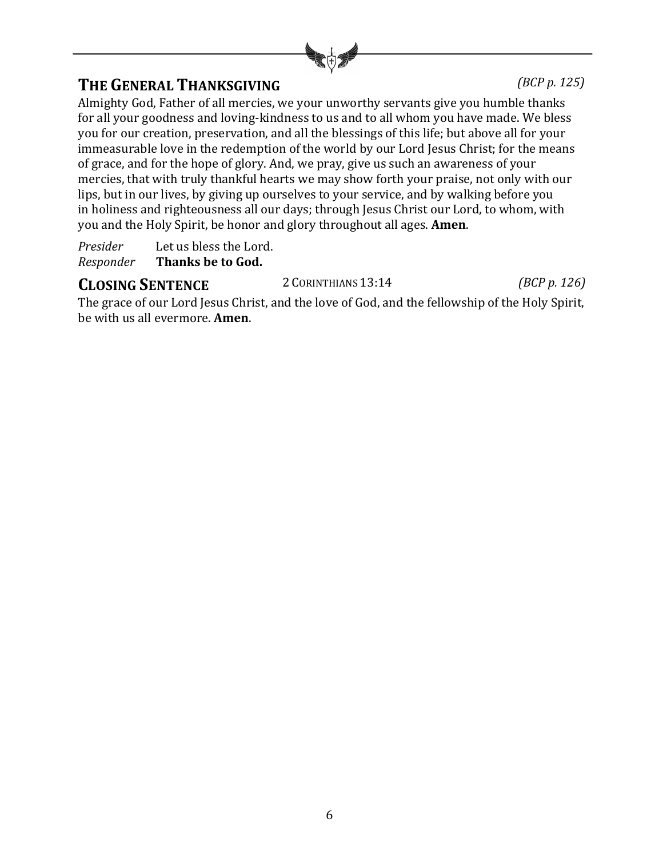

# **THE GENERAL THANKSGIVING** *(BCP p. 125)*

Almighty God, Father of all mercies, we your unworthy servants give you humble thanks for all your goodness and loving-kindness to us and to all whom you have made. We bless you for our creation, preservation, and all the blessings of this life; but above all for your immeasurable love in the redemption of the world by our Lord Jesus Christ; for the means of grace, and for the hope of glory. And, we pray, give us such an awareness of your mercies, that with truly thankful hearts we may show forth your praise, not only with our lips, but in our lives, by giving up ourselves to your service, and by walking before you in holiness and righteousness all our days; through Jesus Christ our Lord, to whom, with you and the Holy Spirit, be honor and glory throughout all ages. **Amen**.

*Presider* Let us bless the Lord. **Responder Thanks be to God.** 

## **CLOSING SENTENCE** 2 CORINTHIANS 13:14 *(BCP p. 126)*

The grace of our Lord Jesus Christ, and the love of God, and the fellowship of the Holy Spirit, be with us all evermore. **Amen**.